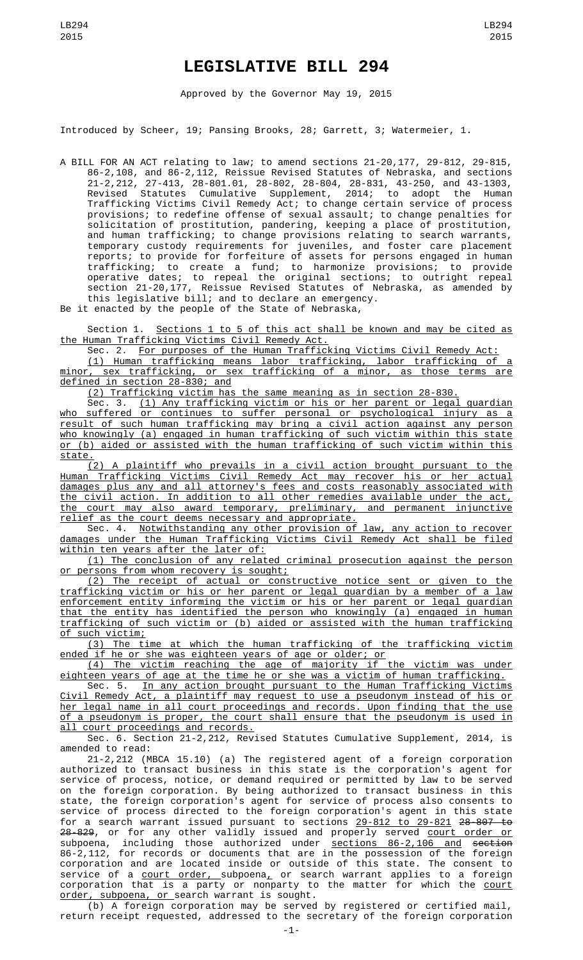## **LEGISLATIVE BILL 294**

Approved by the Governor May 19, 2015

Introduced by Scheer, 19; Pansing Brooks, 28; Garrett, 3; Watermeier, 1.

A BILL FOR AN ACT relating to law; to amend sections 21-20,177, 29-812, 29-815, 86-2,108, and 86-2,112, Reissue Revised Statutes of Nebraska, and sections 21-2,212, 27-413, 28-801.01, 28-802, 28-804, 28-831, 43-250, and 43-1303, Revised Statutes Cumulative Supplement, 2014; to adopt the Human Trafficking Victims Civil Remedy Act; to change certain service of process provisions; to redefine offense of sexual assault; to change penalties for solicitation of prostitution, pandering, keeping a place of prostitution, and human trafficking; to change provisions relating to search warrants, temporary custody requirements for juveniles, and foster care placement reports; to provide for forfeiture of assets for persons engaged in human trafficking; to create a fund; to harmonize provisions; to provide operative dates; to repeal the original sections; to outright repeal section 21-20,177, Reissue Revised Statutes of Nebraska, as amended by this legislative bill; and to declare an emergency.

Be it enacted by the people of the State of Nebraska,

Section 1. Sections 1 to 5 of this act shall be known and may be cited as the Human Trafficking Victims Civil Remedy Act.

Sec. 2. For purposes of the Human Trafficking Victims Civil Remedy Act:

(1) Human trafficking means labor trafficking, labor trafficking of a minor, sex trafficking, or sex trafficking of a minor, as those terms are defined in section 28-830; and

(2) Trafficking victim has the same meaning as in section 28-830.

Sec. 3. (1) Any trafficking victim or his or her parent or legal guardian who suffered or continues to suffer personal or psychological injury as a result of such human trafficking may bring a civil action against any person who knowingly (a) engaged in human trafficking of such victim within this state or (b) aided or assisted with the human trafficking of such victim within this state.

(2) A plaintiff who prevails in a civil action brought pursuant to the Human Trafficking Victims Civil Remedy Act may recover his or her actual damages plus any and all attorney's fees and costs reasonably associated with the civil action. In addition to all other remedies available under the act, the court may also award temporary, preliminary, and permanent injunctive relief as the court deems necessary and appropriate.

Sec. 4. Notwithstanding any other provision of law, any action to recover damages under the Human Trafficking Victims Civil Remedy Act shall be filed within ten years after the later of:

(1) The conclusion of any related criminal prosecution against the person or persons from whom recovery is sought;

(2) The receipt of actual or constructive notice sent or given to the trafficking victim or his or her parent or legal guardian by a member of a law enforcement entity informing the victim or his or her parent or legal guardian that the entity has identified the person who knowingly (a) engaged in human trafficking of such victim or (b) aided or assisted with the human trafficking of such victim;

(3) The time at which the human trafficking of the trafficking victim ended if he or she was eighteen years of age or older; or

(4) The victim reaching the age of majority if the victim was under eighteen years of age at the time he or she was a victim of human trafficking.

Sec. 5. <u>In any action brought pursuant to the Human Trafficking Victims</u> Civil Remedy Act, a plaintiff may request to use a pseudonym instead of his or her legal name in all court proceedings and records. Upon finding that the use of a pseudonym is proper, the court shall ensure that the pseudonym is used in all court proceedings and records.

Sec. 6. Section 21-2,212, Revised Statutes Cumulative Supplement, 2014, is amended to read:

21-2,212 (MBCA 15.10) (a) The registered agent of a foreign corporation authorized to transact business in this state is the corporation's agent for service of process, notice, or demand required or permitted by law to be served on the foreign corporation. By being authorized to transact business in this state, the foreign corporation's agent for service of process also consents to service of process directed to the foreign corporation's agent in this state for a search warrant issued pursuant to sections 29-812 to 29-821 28-807 to <del>28-829</del>, or for any other validly issued and properly served <u>court order or</u> subpoena, including those authorized under <u>sections 86-2,106 and</u> <del>section</del> 86-2,112, for records or documents that are in the possession of the foreign corporation and are located inside or outside of this state. The consent to service of a <u>court order, s</u>ubpoena<u>,</u> or search warrant applies to a foreign corporation that is a party or nonparty to the matter for which the <u>court</u> order, subpoena, or search warrant is sought.

(b) A foreign corporation may be served by registered or certified mail, return receipt requested, addressed to the secretary of the foreign corporation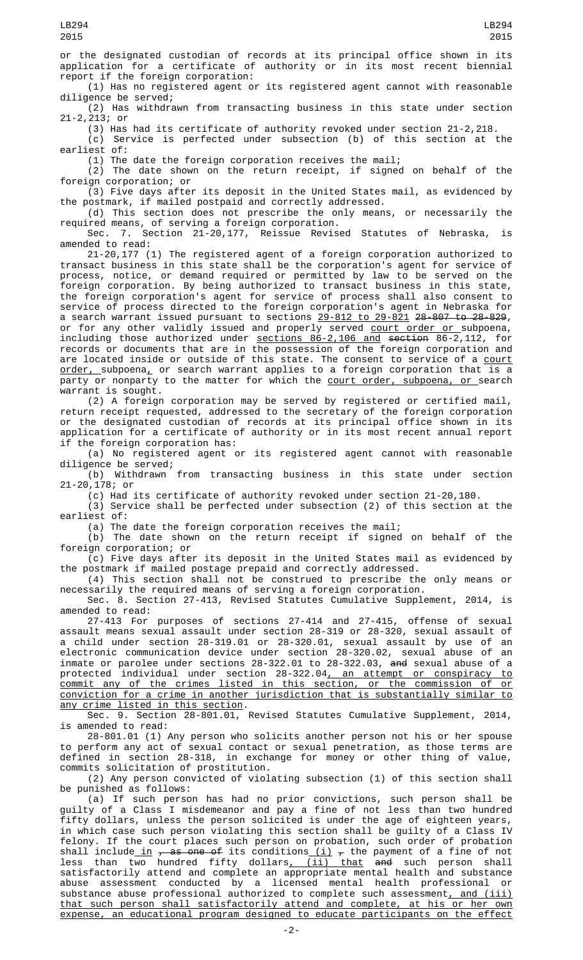or the designated custodian of records at its principal office shown in its application for a certificate of authority or in its most recent biennial report if the foreign corporation:

(1) Has no registered agent or its registered agent cannot with reasonable diligence be served;

(2) Has withdrawn from transacting business in this state under section 21-2,213; or

(3) Has had its certificate of authority revoked under section 21-2,218.

(c) Service is perfected under subsection (b) of this section at the earliest of:

(1) The date the foreign corporation receives the mail;

(2) The date shown on the return receipt, if signed on behalf of the foreign corporation; or (3) Five days after its deposit in the United States mail, as evidenced by

the postmark, if mailed postpaid and correctly addressed. (d) This section does not prescribe the only means, or necessarily the

required means, of serving a foreign corporation. Sec. 7. Section 21-20,177, Reissue Revised Statutes of Nebraska, is

amended to read:

21-20,177 (1) The registered agent of a foreign corporation authorized to transact business in this state shall be the corporation's agent for service of process, notice, or demand required or permitted by law to be served on the foreign corporation. By being authorized to transact business in this state, the foreign corporation's agent for service of process shall also consent to service of process directed to the foreign corporation's agent in Nebraska for a search warrant issued pursuant to sections 29-812 to 29-821 28-807 to 28-829, or for any other validly issued and properly served <u>court order or </u>subpoena, including those authorized under sections 86-2,106 and section 86-2,112, for records or documents that are in the possession of the foreign corporation and are located inside or outside of this state. The consent to service of a <u>court</u> <u>order, s</u>ubpoena<u>,</u> or search warrant applies to a foreign corporation that is a party or nonparty to the matter for which the court order, subpoena, or search warrant is sought.

(2) A foreign corporation may be served by registered or certified mail, return receipt requested, addressed to the secretary of the foreign corporation or the designated custodian of records at its principal office shown in its application for a certificate of authority or in its most recent annual report if the foreign corporation has:

(a) No registered agent or its registered agent cannot with reasonable diligence be served;

(b) Withdrawn from transacting business in this state under section 21-20,178; or

(c) Had its certificate of authority revoked under section 21-20,180.

(3) Service shall be perfected under subsection (2) of this section at the earliest of:

(a) The date the foreign corporation receives the mail;

(b) The date shown on the return receipt if signed on behalf of the foreign corporation; or

(c) Five days after its deposit in the United States mail as evidenced by the postmark if mailed postage prepaid and correctly addressed.

(4) This section shall not be construed to prescribe the only means or necessarily the required means of serving a foreign corporation.

Sec. 8. Section 27-413, Revised Statutes Cumulative Supplement, 2014, is amended to read:

27-413 For purposes of sections 27-414 and 27-415, offense of sexual assault means sexual assault under section 28-319 or 28-320, sexual assault of a child under section 28-319.01 or 28-320.01, sexual assault by use of an electronic communication device under section 28-320.02, sexual abuse of an inmate or parolee under sections 28-322.01 to 28-322.03, and sexual abuse of a protected individual under section 28-322.04<u>, an attempt or conspiracy to</u> commit any of the crimes listed in this section, or the commission of or conviction for a crime in another jurisdiction that is substantially similar to any crime listed in this section.

Sec. 9. Section 28-801.01, Revised Statutes Cumulative Supplement, 2014, is amended to read:

28-801.01 (1) Any person who solicits another person not his or her spouse to perform any act of sexual contact or sexual penetration, as those terms are defined in section 28-318, in exchange for money or other thing of value, commits solicitation of prostitution.

(2) Any person convicted of violating subsection (1) of this section shall be punished as follows:

(a) If such person has had no prior convictions, such person shall be guilty of a Class I misdemeanor and pay a fine of not less than two hundred fifty dollars, unless the person solicited is under the age of eighteen years, in which case such person violating this section shall be guilty of a Class IV felony. If the court places such person on probation, such order of probation shall include\_in <del>, as one of</del> its conditions\_(<u>i)</u>  $_7$  the payment of a fine of not less than two hundred fifty dollars<u>, (ii) that</u> <del>and</del> such person shall satisfactorily attend and complete an appropriate mental health and substance abuse assessment conducted by a licensed mental health professional or substance abuse professional authorized to complete such assessment<u>, and (iii)</u> that such person shall satisfactorily attend and complete, at his or her own expense, an educational program designed to educate participants on the effect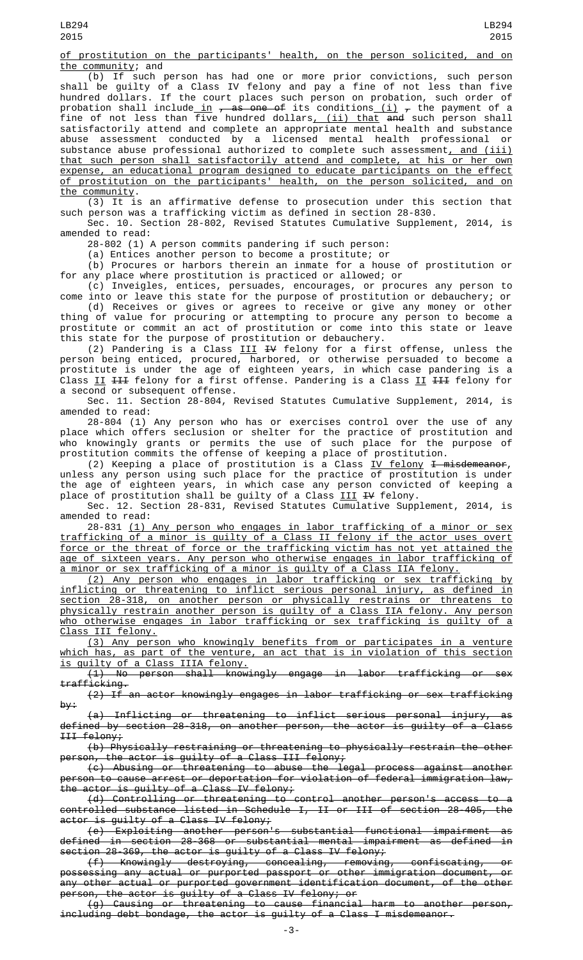of prostitution on the participants' health, on the person solicited, and on the community; and

 $(b)$  If such person has had one or more prior convictions, such person shall be guilty of a Class IV felony and pay a fine of not less than five hundred dollars. If the court places such person on probation, such order of probation shall include<u> in</u> <del>, as one of</del> its conditions <u>(i)</u> <del>,</del> the payment of a fine of not less than five hundred dollars<u>, (ii) that</u> <del>and</del> such person shall satisfactorily attend and complete an appropriate mental health and substance abuse assessment conducted by a licensed mental health professional or substance abuse professional authorized to complete such assessment, and (iii) that such person shall satisfactorily attend and complete, at his or her own expense, an educational program designed to educate participants on the effect of prostitution on the participants' health, on the person solicited, and on the community.

(3) It is an affirmative defense to prosecution under this section that such person was a trafficking victim as defined in section 28-830.

Sec. 10. Section 28-802, Revised Statutes Cumulative Supplement, 2014, is amended to read:

28-802 (1) A person commits pandering if such person:

(a) Entices another person to become a prostitute; or

(b) Procures or harbors therein an inmate for a house of prostitution or for any place where prostitution is practiced or allowed; or

(c) Inveigles, entices, persuades, encourages, or procures any person to come into or leave this state for the purpose of prostitution or debauchery; or (d) Receives or gives or agrees to receive or give any money or other

thing of value for procuring or attempting to procure any person to become a prostitute or commit an act of prostitution or come into this state or leave this state for the purpose of prostitution or debauchery.

(2) Pandering is a Class  $III$  <del>IV</del> felony for a first offense, unless the person being enticed, procured, harbored, or otherwise persuaded to become a prostitute is under the age of eighteen years, in which case pandering is a Class II  $H$  felony for a first offense. Pandering is a Class II  $H$  felony for a second or subsequent offense.

Sec. 11. Section 28-804, Revised Statutes Cumulative Supplement, 2014, is amended to read:

28-804 (1) Any person who has or exercises control over the use of any place which offers seclusion or shelter for the practice of prostitution and who knowingly grants or permits the use of such place for the purpose of prostitution commits the offense of keeping a place of prostitution.

(2) Keeping a place of prostitution is a Class  $IV$  felony  $I$  misdemeanor, unless any person using such place for the practice of prostitution is under the age of eighteen years, in which case any person convicted of keeping a place of prostitution shall be guilty of a Class <u>III</u> <del>IV</del> felony.

Sec. 12. Section 28-831, Revised Statutes Cumulative Supplement, 2014, is amended to read:

28-831 (1) Any person who engages in labor trafficking of a minor or sex trafficking of a minor is guilty of a Class II felony if the actor uses overt force or the threat of force or the trafficking victim has not yet attained the age of sixteen years. Any person who otherwise engages in labor trafficking of a minor or sex trafficking of a minor is guilty of a Class IIA felony.

(2) Any person who engages in labor trafficking or sex trafficking by inflicting or threatening to inflict serious personal injury, as defined in section 28-318, on another person or physically restrains or threatens to physically restrain another person is guilty of a Class IIA felony. Any person who otherwise engages in labor trafficking or sex trafficking is guilty of a Class III felony.

(3) Any person who knowingly benefits from or participates in a venture which has, as part of the venture, an act that is in violation of this section is guilty of a Class IIIA felony.

(1) No person shall knowingly engage in labor trafficking or sex trafficking.

(2) If an actor knowingly engages in labor trafficking or sex trafficking by:

 $\overline{\phantom{a}}$  Inflicting or threatening to inflict serious personal injury, as defined by section 28-318, on another person, the actor is guilty of a Class III felony;

(b) Physically restraining or threatening to physically restrain the other person, the actor is guilty of a Class III felony;

(c) Abusing or threatening to abuse the legal process against another person to cause arrest or deportation for violation of federal immigration law, the actor is guilty of a Class IV felony;

(d) Controlling or threatening to control another person's access to a controlled substance listed in Schedule I, II or III of section 28-405, the actor is guilty of a Class IV felony;

(e) Exploiting another person's substantial functional impairment as defined in section 28-368 or substantial mental impairment as defined in section 28-369, the actor is guilty of a Class IV felony;

(f) Knowingly destroying, concealing, removing, confiscating, or possessing any actual or purported passport or other immigration document, or any other actual or purported government identification document, of the other person, the actor is guilty of a Class IV felony; or

(g) Causing or threatening to cause financial harm to another person, including debt bondage, the actor is guilty of a Class I misdemeanor.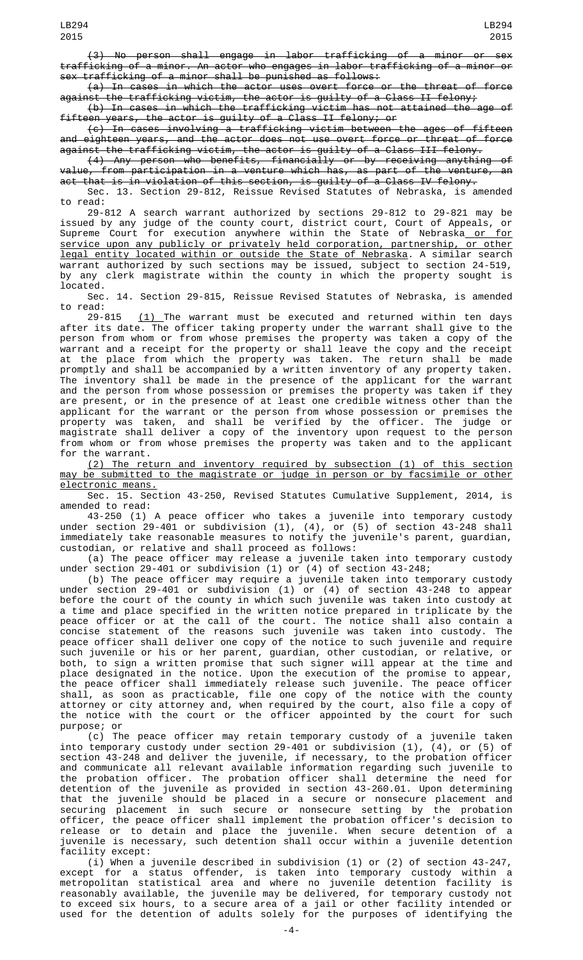(3) No person shall engage in labor trafficking of a minor or sex trafficking of a minor. An actor who engages in labor trafficking of a minor or sex trafficking of a minor shall be punished as follows:

(a) In cases in which the actor uses overt force or the threat of force against the trafficking victim, the actor is guilty of a Class II felony;

(b) In cases in which the trafficking victim has not attained the age of fifteen years, the actor is guilty of a Class II felony; or

(c) In cases involving a trafficking victim between the ages of fifteen and eighteen years, and the actor does not use overt force or threat of force against the trafficking victim, the actor is guilty of a Class III felony.

(4) Any person who benefits, financially or by receiving anything of value, from participation in a venture which has, as part of the venture, an act that is in violation of this section, is guilty of a Class IV felony.

Sec. 13. Section 29-812, Reissue Revised Statutes of Nebraska, is amended to read:

29-812 A search warrant authorized by sections 29-812 to 29-821 may be issued by any judge of the county court, district court, Court of Appeals, or Supreme Court for execution anywhere within the State of Nebraska<u> or for</u> service upon any publicly or privately held corporation, partnership, or other legal entity located within or outside the State of Nebraska. A similar search warrant authorized by such sections may be issued, subject to section 24-519, by any clerk magistrate within the county in which the property sought is located.

Sec. 14. Section 29-815, Reissue Revised Statutes of Nebraska, is amended to read:

29-815 <u>(1) </u>The warrant must be executed and returned within ten days after its date. The officer taking property under the warrant shall give to the person from whom or from whose premises the property was taken a copy of the warrant and a receipt for the property or shall leave the copy and the receipt at the place from which the property was taken. The return shall be made promptly and shall be accompanied by a written inventory of any property taken. The inventory shall be made in the presence of the applicant for the warrant and the person from whose possession or premises the property was taken if they are present, or in the presence of at least one credible witness other than the applicant for the warrant or the person from whose possession or premises the property was taken, and shall be verified by the officer. The judge or magistrate shall deliver a copy of the inventory upon request to the person from whom or from whose premises the property was taken and to the applicant for the warrant.

(2) The return and inventory required by subsection (1) of this section may be submitted to the magistrate or judge in person or by facsimile or other electronic means.

Sec. 15. Section 43-250, Revised Statutes Cumulative Supplement, 2014, is amended to read:

43-250 (1) A peace officer who takes a juvenile into temporary custody under section 29-401 or subdivision (1), (4), or (5) of section 43-248 shall immediately take reasonable measures to notify the juvenile's parent, guardian, custodian, or relative and shall proceed as follows:

(a) The peace officer may release a juvenile taken into temporary custody under section 29-401 or subdivision (1) or (4) of section 43-248;

(b) The peace officer may require a juvenile taken into temporary custody under section 29-401 or subdivision (1) or (4) of section 43-248 to appear before the court of the county in which such juvenile was taken into custody at a time and place specified in the written notice prepared in triplicate by the peace officer or at the call of the court. The notice shall also contain a concise statement of the reasons such juvenile was taken into custody. The peace officer shall deliver one copy of the notice to such juvenile and require such juvenile or his or her parent, guardian, other custodian, or relative, or both, to sign a written promise that such signer will appear at the time and place designated in the notice. Upon the execution of the promise to appear, the peace officer shall immediately release such juvenile. The peace officer shall, as soon as practicable, file one copy of the notice with the county attorney or city attorney and, when required by the court, also file a copy of the notice with the court or the officer appointed by the court for such purpose; or

(c) The peace officer may retain temporary custody of a juvenile taken into temporary custody under section 29-401 or subdivision (1), (4), or (5) of section 43-248 and deliver the juvenile, if necessary, to the probation officer and communicate all relevant available information regarding such juvenile to the probation officer. The probation officer shall determine the need for detention of the juvenile as provided in section 43-260.01. Upon determining that the juvenile should be placed in a secure or nonsecure placement and securing placement in such secure or nonsecure setting by the probation officer, the peace officer shall implement the probation officer's decision to release or to detain and place the juvenile. When secure detention of a juvenile is necessary, such detention shall occur within a juvenile detention facility except:

(i) When a juvenile described in subdivision (1) or (2) of section 43-247, except for a status offender, is taken into temporary custody within a metropolitan statistical area and where no juvenile detention facility is reasonably available, the juvenile may be delivered, for temporary custody not to exceed six hours, to a secure area of a jail or other facility intended or used for the detention of adults solely for the purposes of identifying the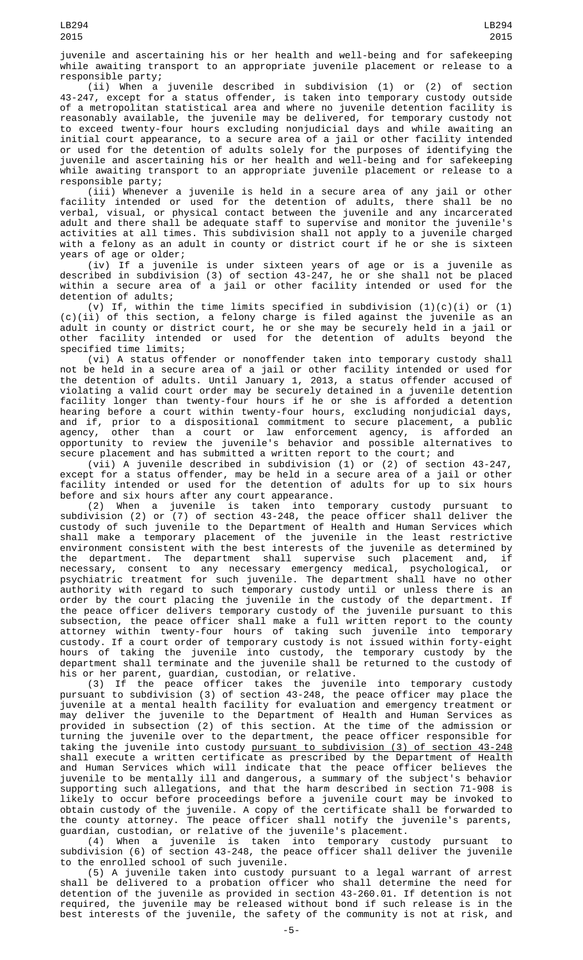juvenile and ascertaining his or her health and well-being and for safekeeping while awaiting transport to an appropriate juvenile placement or release to a responsible party;

(ii) When a juvenile described in subdivision (1) or (2) of section 43-247, except for a status offender, is taken into temporary custody outside of a metropolitan statistical area and where no juvenile detention facility is reasonably available, the juvenile may be delivered, for temporary custody not to exceed twenty-four hours excluding nonjudicial days and while awaiting an initial court appearance, to a secure area of a jail or other facility intended or used for the detention of adults solely for the purposes of identifying the juvenile and ascertaining his or her health and well-being and for safekeeping while awaiting transport to an appropriate juvenile placement or release to a responsible party;

(iii) Whenever a juvenile is held in a secure area of any jail or other facility intended or used for the detention of adults, there shall be no verbal, visual, or physical contact between the juvenile and any incarcerated adult and there shall be adequate staff to supervise and monitor the juvenile's activities at all times. This subdivision shall not apply to a juvenile charged with a felony as an adult in county or district court if he or she is sixteen years of age or older;

(iv) If a juvenile is under sixteen years of age or is a juvenile as described in subdivision (3) of section 43-247, he or she shall not be placed within a secure area of a jail or other facility intended or used for the detention of adults;

(v) If, within the time limits specified in subdivision  $(1)(c)(i)$  or  $(1)$ (c)(ii) of this section, a felony charge is filed against the juvenile as an adult in county or district court, he or she may be securely held in a jail or other facility intended or used for the detention of adults beyond the specified time limits;

(vi) A status offender or nonoffender taken into temporary custody shall not be held in a secure area of a jail or other facility intended or used for the detention of adults. Until January 1, 2013, a status offender accused of violating a valid court order may be securely detained in a juvenile detention facility longer than twenty-four hours if he or she is afforded a detention hearing before a court within twenty-four hours, excluding nonjudicial days, and if, prior to a dispositional commitment to secure placement, a public agency, other than a court or law enforcement agency, is afforded an opportunity to review the juvenile's behavior and possible alternatives to secure placement and has submitted a written report to the court; and

(vii) A juvenile described in subdivision (1) or (2) of section 43-247, except for a status offender, may be held in a secure area of a jail or other facility intended or used for the detention of adults for up to six hours before and six hours after any court appearance.

(2) When a juvenile is taken into temporary custody pursuant to subdivision (2) or (7) of section 43-248, the peace officer shall deliver the custody of such juvenile to the Department of Health and Human Services which shall make a temporary placement of the juvenile in the least restrictive environment consistent with the best interests of the juvenile as determined by the department. The department shall supervise such placement and, if necessary, consent to any necessary emergency medical, psychological, or psychiatric treatment for such juvenile. The department shall have no other authority with regard to such temporary custody until or unless there is an order by the court placing the juvenile in the custody of the department. If the peace officer delivers temporary custody of the juvenile pursuant to this subsection, the peace officer shall make a full written report to the county attorney within twenty-four hours of taking such juvenile into temporary custody. If a court order of temporary custody is not issued within forty-eight hours of taking the juvenile into custody, the temporary custody by the department shall terminate and the juvenile shall be returned to the custody of his or her parent, guardian, custodian, or relative.

(3) If the peace officer takes the juvenile into temporary custody pursuant to subdivision (3) of section 43-248, the peace officer may place the juvenile at a mental health facility for evaluation and emergency treatment or may deliver the juvenile to the Department of Health and Human Services as provided in subsection (2) of this section. At the time of the admission or turning the juvenile over to the department, the peace officer responsible for taking the juvenile into custody pursuant to subdivision (3) of section 43-248 shall execute a written certificate as prescribed by the Department of Health and Human Services which will indicate that the peace officer believes the juvenile to be mentally ill and dangerous, a summary of the subject's behavior supporting such allegations, and that the harm described in section 71-908 is likely to occur before proceedings before a juvenile court may be invoked to obtain custody of the juvenile. A copy of the certificate shall be forwarded to the county attorney. The peace officer shall notify the juvenile's parents, guardian, custodian, or relative of the juvenile's placement.

(4) When a juvenile is taken into temporary custody pursuant to subdivision (6) of section 43-248, the peace officer shall deliver the juvenile to the enrolled school of such juvenile.

(5) A juvenile taken into custody pursuant to a legal warrant of arrest shall be delivered to a probation officer who shall determine the need for detention of the juvenile as provided in section 43-260.01. If detention is not required, the juvenile may be released without bond if such release is in the best interests of the juvenile, the safety of the community is not at risk, and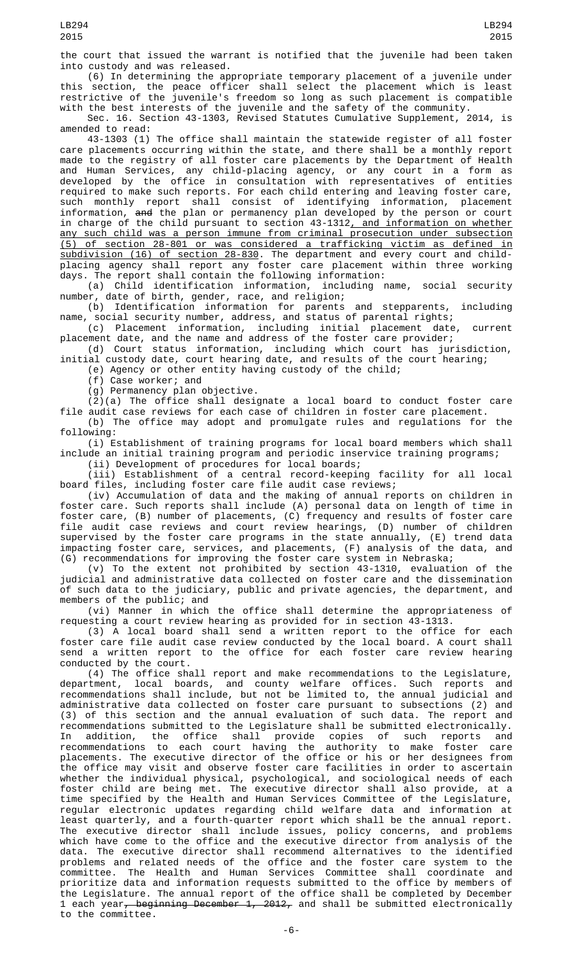the court that issued the warrant is notified that the juvenile had been taken into custody and was released.

(6) In determining the appropriate temporary placement of a juvenile under this section, the peace officer shall select the placement which is least restrictive of the juvenile's freedom so long as such placement is compatible with the best interests of the juvenile and the safety of the community.

Sec. 16. Section 43-1303, Revised Statutes Cumulative Supplement, 2014, is amended to read:

43-1303 (1) The office shall maintain the statewide register of all foster care placements occurring within the state, and there shall be a monthly report made to the registry of all foster care placements by the Department of Health and Human Services, any child-placing agency, or any court in a form as developed by the office in consultation with representatives of entities required to make such reports. For each child entering and leaving foster care, such monthly report shall consist of identifying information, placement information, and the plan or permanency plan developed by the person or court in charge of the child pursuant to section 43-1312<u>, and information on whether</u> any such child was a person immune from criminal prosecution under subsection (5) of section 28-801 or was considered a trafficking victim as defined in subdivision (16) of section 28-830. The department and every court and childplacing agency shall report any foster care placement within three working days. The report shall contain the following information:<br>(a) Child identification information, including name, social security

(a) Child identification information, including name, social security number, date of birth, gender, race, and religion;

(b) Identification information for parents and stepparents, including name, social security number, address, and status of parental rights;

(c) Placement information, including initial placement date, current placement date, and the name and address of the foster care provider;

(d) Court status information, including which court has jurisdiction, initial custody date, court hearing date, and results of the court hearing;

(e) Agency or other entity having custody of the child;

(f) Case worker; and

(g) Permanency plan objective.

(2)(a) The office shall designate a local board to conduct foster care file audit case reviews for each case of children in foster care placement. (b) The office may adopt and promulgate rules and regulations for the following:

(i) Establishment of training programs for local board members which shall include an initial training program and periodic inservice training programs;

(ii) Development of procedures for local boards;

(iii) Establishment of a central record-keeping facility for all local board files, including foster care file audit case reviews;

(iv) Accumulation of data and the making of annual reports on children in foster care. Such reports shall include (A) personal data on length of time in foster care, (B) number of placements, (C) frequency and results of foster care file audit case reviews and court review hearings, (D) number of children supervised by the foster care programs in the state annually, (E) trend data impacting foster care, services, and placements, (F) analysis of the data, and (G) recommendations for improving the foster care system in Nebraska;

(v) To the extent not prohibited by section 43-1310, evaluation of the judicial and administrative data collected on foster care and the dissemination of such data to the judiciary, public and private agencies, the department, and members of the public; and

(vi) Manner in which the office shall determine the appropriateness of requesting a court review hearing as provided for in section 43-1313.

(3) A local board shall send a written report to the office for each foster care file audit case review conducted by the local board. A court shall send a written report to the office for each foster care review hearing conducted by the court.

(4) The office shall report and make recommendations to the Legislature, department, local boards, and county welfare offices. Such reports and recommendations shall include, but not be limited to, the annual judicial and administrative data collected on foster care pursuant to subsections (2) and (3) of this section and the annual evaluation of such data. The report and recommendations submitted to the Legislature shall be submitted electronically. In addition, the office shall provide copies of such reports and recommendations to each court having the authority to make foster care placements. The executive director of the office or his or her designees from the office may visit and observe foster care facilities in order to ascertain whether the individual physical, psychological, and sociological needs of each foster child are being met. The executive director shall also provide, at a time specified by the Health and Human Services Committee of the Legislature, regular electronic updates regarding child welfare data and information at least quarterly, and a fourth-quarter report which shall be the annual report. The executive director shall include issues, policy concerns, and problems which have come to the office and the executive director from analysis of the data. The executive director shall recommend alternatives to the identified problems and related needs of the office and the foster care system to the committee. The Health and Human Services Committee shall coordinate and prioritize data and information requests submitted to the office by members of the Legislature. The annual report of the office shall be completed by December 1 each year, beginning December 1, 2012, and shall be submitted electronically to the committee.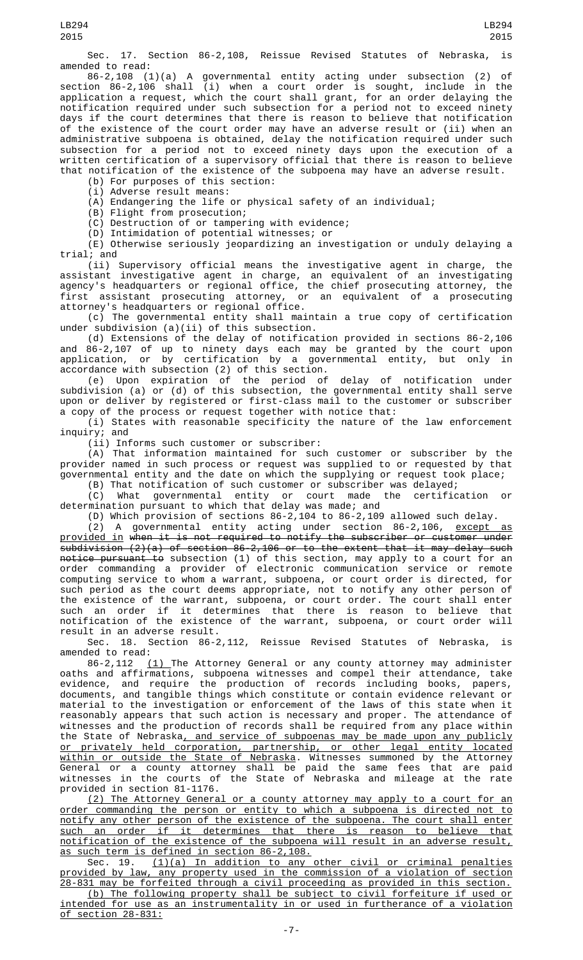Sec. 17. Section 86-2,108, Reissue Revised Statutes of Nebraska, is amended to read:

86-2,108 (1)(a) A governmental entity acting under subsection (2) of section 86-2,106 shall (i) when a court order is sought, include in the application a request, which the court shall grant, for an order delaying the notification required under such subsection for a period not to exceed ninety days if the court determines that there is reason to believe that notification of the existence of the court order may have an adverse result or (ii) when an administrative subpoena is obtained, delay the notification required under such subsection for a period not to exceed ninety days upon the execution of a written certification of a supervisory official that there is reason to believe that notification of the existence of the subpoena may have an adverse result.

(b) For purposes of this section:

(i) Adverse result means:

(A) Endangering the life or physical safety of an individual;

(B) Flight from prosecution;

(C) Destruction of or tampering with evidence;

(D) Intimidation of potential witnesses; or

(E) Otherwise seriously jeopardizing an investigation or unduly delaying a trial; and

(ii) Supervisory official means the investigative agent in charge, the assistant investigative agent in charge, an equivalent of an investigating agency's headquarters or regional office, the chief prosecuting attorney, the first assistant prosecuting attorney, or an equivalent of a prosecuting attorney's headquarters or regional office.

(c) The governmental entity shall maintain a true copy of certification under subdivision (a)(ii) of this subsection.

(d) Extensions of the delay of notification provided in sections 86-2,106 and 86-2,107 of up to ninety days each may be granted by the court upon application, or by certification by a governmental entity, but only in accordance with subsection (2) of this section.

(e) Upon expiration of the period of delay of notification under subdivision (a) or (d) of this subsection, the governmental entity shall serve upon or deliver by registered or first-class mail to the customer or subscriber a copy of the process or request together with notice that:

(i) States with reasonable specificity the nature of the law enforcement inquiry; and

(ii) Informs such customer or subscriber:

(A) That information maintained for such customer or subscriber by the provider named in such process or request was supplied to or requested by that governmental entity and the date on which the supplying or request took place;

(B) That notification of such customer or subscriber was delayed; (C) What governmental entity or court made the certification or determination pursuant to which that delay was made; and

(D) Which provision of sections 86-2,104 to 86-2,109 allowed such delay.

 $(2)$  A governmental entity acting under section 86-2,106,  $except$  as provided in when it is not required to notify the subscriber or customer under  $\overline{\text{subdivision}}$  (2)(a) of section 86-2,106 or to the extent that it may delay such notice pursuant to subsection (1) of this section, may apply to a court for an order commanding a provider of electronic communication service or remote computing service to whom a warrant, subpoena, or court order is directed, for such period as the court deems appropriate, not to notify any other person of the existence of the warrant, subpoena, or court order. The court shall enter such an order if it determines that there is reason to believe that notification of the existence of the warrant, subpoena, or court order will result in an adverse result.

Sec. 18. Section 86-2,112, Reissue Revised Statutes of Nebraska, is amended to read:

86-2,112 <u>(1)</u> The Attorney General or any county attorney may administer oaths and affirmations, subpoena witnesses and compel their attendance, take evidence, and require the production of records including books, papers, documents, and tangible things which constitute or contain evidence relevant or material to the investigation or enforcement of the laws of this state when it reasonably appears that such action is necessary and proper. The attendance of witnesses and the production of records shall be required from any place within the State of Nebraska, and service of subpoenas may be made upon any publicly or privately held corporation, partnership, or other legal entity located within or outside the State of Nebraska. Witnesses summoned by the Attorney General or a county attorney shall be paid the same fees that are paid witnesses in the courts of the State of Nebraska and mileage at the rate provided in section 81-1176.

(2) The Attorney General or a county attorney may apply to a court for an order commanding the person or entity to which a subpoena is directed not to notify any other person of the existence of the subpoena. The court shall enter such an order if it determines that there is reason to believe that notification of the existence of the subpoena will result in an adverse result, as such term is defined in section 86-2,108.

Sec. 19. (1)(a) In addition to any other civil or criminal penalties provided by law, any property used in the commission of a violation of section 28-831 may be forfeited through a civil proceeding as provided in this section.

(b) The following property shall be subject to civil forfeiture if used or intended for use as an instrumentality in or used in furtherance of a violation of section 28-831: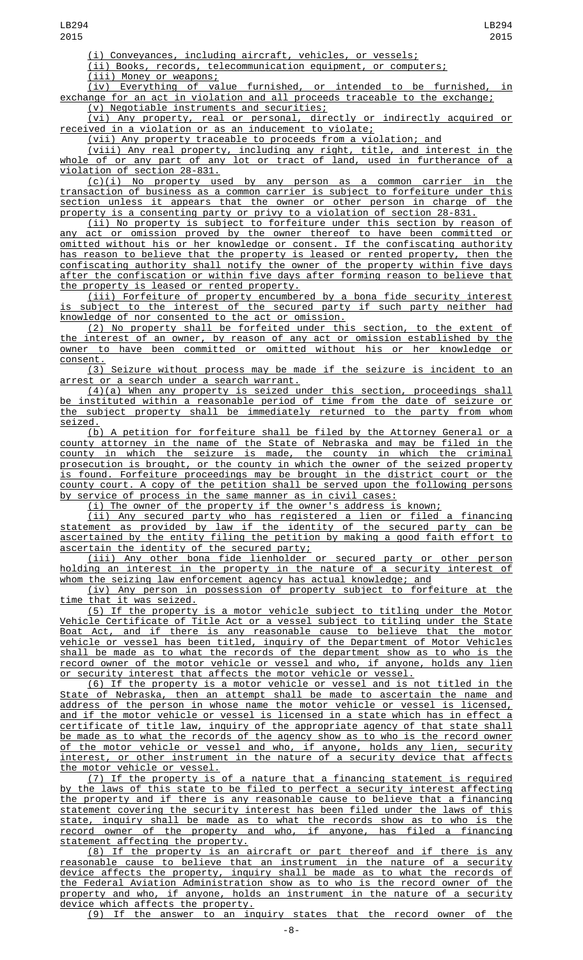(i) Conveyances, including aircraft, vehicles, or vessels;

(ii) Books, records, telecommunication equipment, or computers;

(iii) Money or weapons;

(iv) Everything of value furnished, or intended to be furnished, in exchange for an act in violation and all proceeds traceable to the exchange; (v) Negotiable instruments and securities;

(vi) Any property, real or personal, directly or indirectly acquired or received in a violation or as an inducement to violate;

(vii) Any property traceable to proceeds from a violation; and

(viii) Any real property, including any right, title, and interest in the whole of or any part of any lot or tract of land, used in furtherance of a violation of section 28-831.

(c)(i) No property used by any person as a common carrier in the transaction of business as a common carrier is subject to forfeiture under this section unless it appears that the owner or other person in charge of the property is a consenting party or privy to a violation of section 28-831.

(ii) No property is subject to forfeiture under this section by reason of act or omission proved by the owner thereof to have been committed or omitted without his or her knowledge or consent. If the confiscating authority has reason to believe that the property is leased or rented property, then the confiscating authority shall notify the owner of the property within five days after the confiscation or within five days after forming reason to believe that the property is leased or rented property.

(iii) Forfeiture of property encumbered by a bona fide security interest is subject to the interest of the secured party if such party neither had knowledge of nor consented to the act or omission.

(2) No property shall be forfeited under this section, to the extent of the interest of an owner, by reason of any act or omission established by the owner to have been committed or omitted without his or her knowledge or consent.

(3) Seizure without process may be made if the seizure is incident to an arrest or a search under a search warrant.

(4)(a) When any property is seized under this section, proceedings shall be instituted within a reasonable period of time from the date of seizure or the subject property shall be immediately returned to the party from whom

<u>seized.</u><br>(b) A petition for forfeiture shall be filed by the Attorney General or a county attorney in the name of the State of Nebraska and may be filed in the county in which the seizure is made, the county in which the criminal prosecution is brought, or the county in which the owner of the seized property is found. Forfeiture proceedings may be brought in the district court or the county court. A copy of the petition shall be served upon the following persons by service of process in the same manner as in civil cases:

(i) The owner of the property if the owner's address is known;

(ii) Any secured party who has registered a lien or filed a financing statement as provided by law if the identity of the secured party can be ascertained by the entity filing the petition by making a good faith effort to ascertain the identity of the secured party;

(iii) Any other bona fide lienholder or secured party or other person holding an interest in the property in the nature of a security interest of whom the seizing law enforcement agency has actual knowledge; and

(iv) Any person in possession of property subject to forfeiture at the time that it was seized.

(5) If the property is a motor vehicle subject to titling under the Motor Vehicle Certificate of Title Act or a vessel subject to titling under the State Boat Act, and if there is any reasonable cause to believe that the motor vehicle or vessel has been titled, inquiry of the Department of Motor Vehicles shall be made as to what the records of the department show as to who is the record owner of the motor vehicle or vessel and who, if anyone, holds any lien or security interest that affects the motor vehicle or vessel.

(6) If the property is a motor vehicle or vessel and is not titled in the State of Nebraska, then an attempt shall be made to ascertain the name and address of the person in whose name the motor vehicle or vessel is licensed, and if the motor vehicle or vessel is licensed in a state which has in effect a certificate of title law, inquiry of the appropriate agency of that state shall be made as to what the records of the agency show as to who is the record owner of the motor vehicle or vessel and who, if anyone, holds any lien, security interest, or other instrument in the nature of a security device that affects the motor vehicle or vessel.

(7) If the property is of a nature that a financing statement is required by the laws of this state to be filed to perfect a security interest affecting the property and if there is any reasonable cause to believe that a financing statement covering the security interest has been filed under the laws of this state, inquiry shall be made as to what the records show as to who is the record owner of the property and who, if anyone, has filed a financing statement affecting the property.

(8) If the property is an aircraft or part thereof and if there is any reasonable cause to believe that an instrument in the nature of a security device affects the property, inquiry shall be made as to what the records of the Federal Aviation Administration show as to who is the record owner of the property and who, if anyone, holds an instrument in the nature of a security device which affects the property.

(9) If the answer to an inquiry states that the record owner of the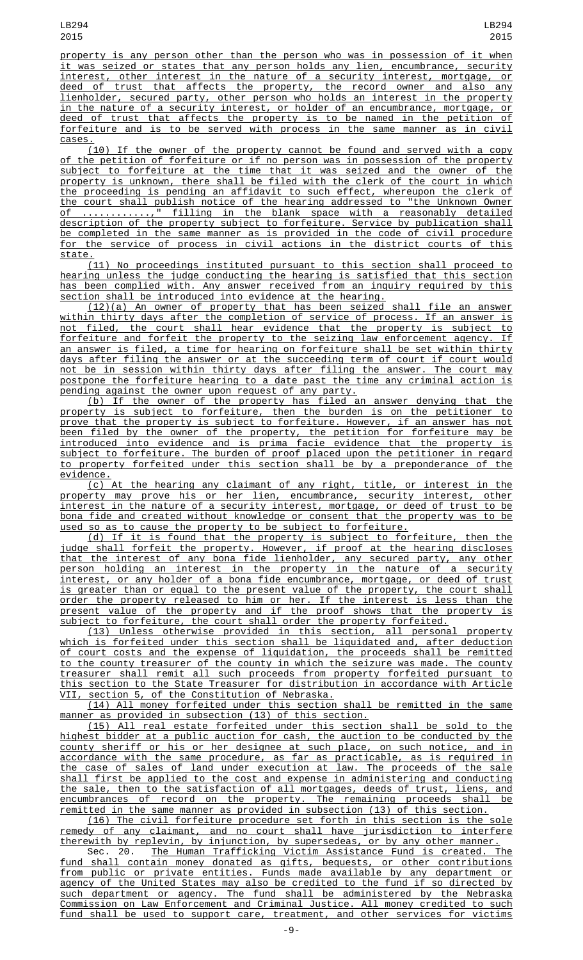property is any person other than the person who was in possession of it when it was seized or states that any person holds any lien, encumbrance, security interest, other interest in the nature of a security interest, mortgage, or deed of trust that affects the property, the record owner and also any lienholder, secured party, other person who holds an interest in the property in the nature of a security interest, or holder of an encumbrance, mortgage, or deed of trust that affects the property is to be named in the petition of forfeiture and is to be served with process in the same manner as in civil cases.

(10) If the owner of the property cannot be found and served with a copy of the petition of forfeiture or if no person was in possession of the property subject to forfeiture at the time that it was seized and the owner of the property is unknown, there shall be filed with the clerk of the court in which the proceeding is pending an affidavit to such effect, whereupon the clerk of the court shall publish notice of the hearing addressed to "the Unknown Owner of ............," filling in the blank space with a reasonably detailed description of the property subject to forfeiture. Service by publication shall be completed in the same manner as is provided in the code of civil procedure for the service of process in civil actions in the district courts of this state.

(11) No proceedings instituted pursuant to this section shall proceed to hearing unless the judge conducting the hearing is satisfied that this section has been complied with. Any answer received from an inquiry required by this section shall be introduced into evidence at the hearing.

(12)(a) An owner of property that has been seized shall file an answer within thirty days after the completion of service of process. If an answer is<br>not filed, the court shall hear evidence that the property is subject to not filed, the court shall hear evidence that the property is subject to forfeiture and forfeit the property to the seizing law enforcement agency. If an answer is filed, a time for hearing on forfeiture shall be set within thirty days after filing the answer or at the succeeding term of court if court would not be in session within thirty days after filing the answer. The court may postpone the forfeiture hearing to a date past the time any criminal action is pending against the owner upon request of any party.

(b) If the owner of the property has filed an answer denying that the property is subject to forfeiture, then the burden is on the petitioner to prove that the property is subject to forfeiture. However, if an answer has not been filed by the owner of the property, the petition for forfeiture may be introduced into evidence and is prima facie evidence that the property is subject to forfeiture. The burden of proof placed upon the petitioner in regard to property forfeited under this section shall be by a preponderance of the evidence.

(c) At the hearing any claimant of any right, title, or interest in the property may prove his or her lien, encumbrance, security interest, other interest in the nature of a security interest, mortgage, or deed of trust to be bona fide and created without knowledge or consent that the property was to be used so as to cause the property to be subject to forfeiture.

(d) If it is found that the property is subject to forfeiture, then the judge shall forfeit the property. However, if proof at the hearing discloses that the interest of any bona fide lienholder, any secured party, any other person holding an interest in the property in the nature of a security interest, or any holder of a bona fide encumbrance, mortgage, or deed of trust is greater than or equal to the present value of the property, the court shall order the property released to him or her. If the interest is less than the present value of the property and if the proof shows that the property is subject to forfeiture, the court shall order the property forfeited.

(13) Unless otherwise provided in this section, all personal property which is forfeited under this section shall be liquidated and, after deduction of court costs and the expense of liquidation, the proceeds shall be remitted to the county treasurer of the county in which the seizure was made. The county treasurer shall remit all such proceeds from property forfeited pursuant to this section to the State Treasurer for distribution in accordance with Article VII, section 5, of the Constitution of Nebraska.

(14) All money forfeited under this section shall be remitted in the same manner as provided in subsection (13) of this section.

(15) All real estate forfeited under this section shall be sold to the highest bidder at a public auction for cash, the auction to be conducted by the county sheriff or his or her designee at such place, on such notice, and in accordance with the same procedure, as far as practicable, as is required in the case of sales of land under execution at law. The proceeds of the sale shall first be applied to the cost and expense in administering and conducting the sale, then to the satisfaction of all mortgages, deeds of trust, liens, and encumbrances of record on the property. The remaining proceeds shall be remitted in the same manner as provided in subsection (13) of this section.

(16) The civil forfeiture procedure set forth in this section is the sole remedy of any claimant, and no court shall have jurisdiction to interfere therewith by replevin, by injunction, by supersedeas, or by any other manner.

Sec. 20. The Human Trafficking Victim Assistance Fund is created. The fund shall contain money donated as gifts, bequests, or other contributions from public or private entities. Funds made available by any department or agency of the United States may also be credited to the fund if so directed by such department or agency. The fund shall be administered by the Nebraska Commission on Law Enforcement and Criminal Justice. All money credited to such fund shall be used to support care, treatment, and other services for victims